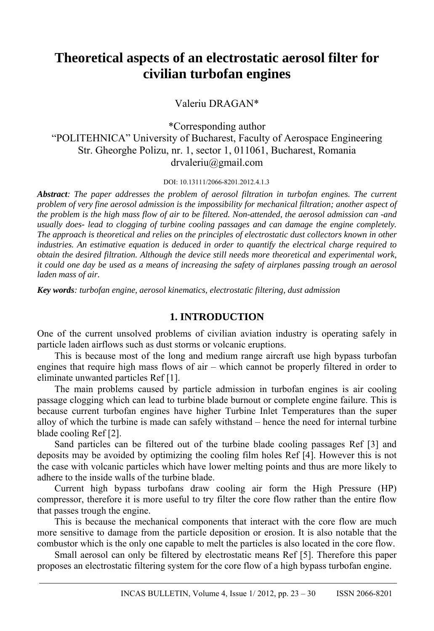# **Theoretical aspects of an electrostatic aerosol filter for civilian turbofan engines**

Valeriu DRAGAN\*

\*Corresponding author "POLITEHNICA" University of Bucharest, Faculty of Aerospace Engineering Str. Gheorghe Polizu, nr. 1, sector 1, 011061, Bucharest, Romania drvaleriu@gmail.com

DOI: 10.13111/2066-8201.2012.4.1.3

*Abstract: The paper addresses the problem of aerosol filtration in turbofan engines. The current problem of very fine aerosol admission is the impossibility for mechanical filtration; another aspect of the problem is the high mass flow of air to be filtered. Non-attended, the aerosol admission can -and usually does- lead to clogging of turbine cooling passages and can damage the engine completely. The approach is theoretical and relies on the principles of electrostatic dust collectors known in other industries. An estimative equation is deduced in order to quantify the electrical charge required to obtain the desired filtration. Although the device still needs more theoretical and experimental work, it could one day be used as a means of increasing the safety of airplanes passing trough an aerosol laden mass of air.* 

*Key words: turbofan engine, aerosol kinematics, electrostatic filtering, dust admission*

## **1. INTRODUCTION**

One of the current unsolved problems of civilian aviation industry is operating safely in particle laden airflows such as dust storms or volcanic eruptions.

This is because most of the long and medium range aircraft use high bypass turbofan engines that require high mass flows of air – which cannot be properly filtered in order to eliminate unwanted particles Ref [1].

The main problems caused by particle admission in turbofan engines is air cooling passage clogging which can lead to turbine blade burnout or complete engine failure. This is because current turbofan engines have higher Turbine Inlet Temperatures than the super alloy of which the turbine is made can safely withstand – hence the need for internal turbine blade cooling Ref [2].

Sand particles can be filtered out of the turbine blade cooling passages Ref [3] and deposits may be avoided by optimizing the cooling film holes Ref [4]. However this is not the case with volcanic particles which have lower melting points and thus are more likely to adhere to the inside walls of the turbine blade.

Current high bypass turbofans draw cooling air form the High Pressure (HP) compressor, therefore it is more useful to try filter the core flow rather than the entire flow that passes trough the engine.

This is because the mechanical components that interact with the core flow are much more sensitive to damage from the particle deposition or erosion. It is also notable that the combustor which is the only one capable to melt the particles is also located in the core flow.

Small aerosol can only be filtered by electrostatic means Ref [5]. Therefore this paper proposes an electrostatic filtering system for the core flow of a high bypass turbofan engine.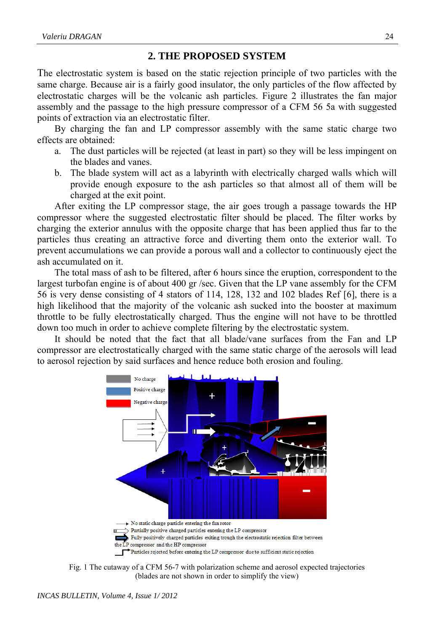## **2. THE PROPOSED SYSTEM**

The electrostatic system is based on the static rejection principle of two particles with the same charge. Because air is a fairly good insulator, the only particles of the flow affected by electrostatic charges will be the volcanic ash particles. Figure 2 illustrates the fan major assembly and the passage to the high pressure compressor of a CFM 56 5a with suggested points of extraction via an electrostatic filter.

 By charging the fan and LP compressor assembly with the same static charge two effects are obtained:

- a. The dust particles will be rejected (at least in part) so they will be less impingent on the blades and vanes.
- b. The blade system will act as a labyrinth with electrically charged walls which will provide enough exposure to the ash particles so that almost all of them will be charged at the exit point.

 After exiting the LP compressor stage, the air goes trough a passage towards the HP compressor where the suggested electrostatic filter should be placed. The filter works by charging the exterior annulus with the opposite charge that has been applied thus far to the particles thus creating an attractive force and diverting them onto the exterior wall. To prevent accumulations we can provide a porous wall and a collector to continuously eject the ash accumulated on it.

 The total mass of ash to be filtered, after 6 hours since the eruption, correspondent to the largest turbofan engine is of about 400 gr /sec. Given that the LP vane assembly for the CFM 56 is very dense consisting of 4 stators of 114, 128, 132 and 102 blades Ref [6], there is a high likelihood that the majority of the volcanic ash sucked into the booster at maximum throttle to be fully electrostatically charged. Thus the engine will not have to be throttled down too much in order to achieve complete filtering by the electrostatic system.

 It should be noted that the fact that all blade/vane surfaces from the Fan and LP compressor are electrostatically charged with the same static charge of the aerosols will lead to aerosol rejection by said surfaces and hence reduce both erosion and fouling.



Fig. 1 The cutaway of a CFM 56-7 with polarization scheme and aerosol expected trajectories (blades are not shown in order to simplify the view)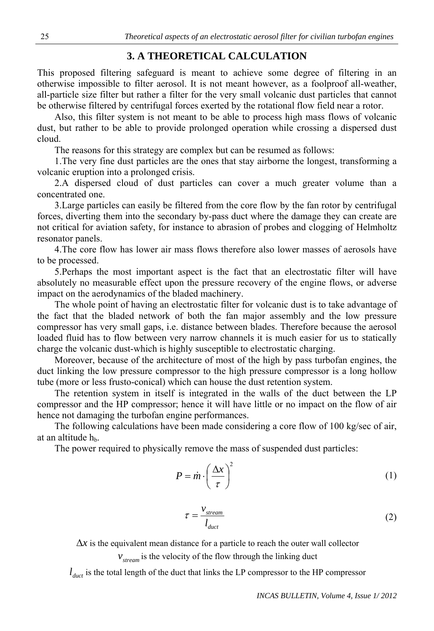### **3. A THEORETICAL CALCULATION**

This proposed filtering safeguard is meant to achieve some degree of filtering in an otherwise impossible to filter aerosol. It is not meant however, as a foolproof all-weather, all-particle size filter but rather a filter for the very small volcanic dust particles that cannot be otherwise filtered by centrifugal forces exerted by the rotational flow field near a rotor.

 Also, this filter system is not meant to be able to process high mass flows of volcanic dust, but rather to be able to provide prolonged operation while crossing a dispersed dust cloud.

The reasons for this strategy are complex but can be resumed as follows:

 1.The very fine dust particles are the ones that stay airborne the longest, transforming a volcanic eruption into a prolonged crisis.

 2.A dispersed cloud of dust particles can cover a much greater volume than a concentrated one.

 3.Large particles can easily be filtered from the core flow by the fan rotor by centrifugal forces, diverting them into the secondary by-pass duct where the damage they can create are not critical for aviation safety, for instance to abrasion of probes and clogging of Helmholtz resonator panels.

 4.The core flow has lower air mass flows therefore also lower masses of aerosols have to be processed.

 5.Perhaps the most important aspect is the fact that an electrostatic filter will have absolutely no measurable effect upon the pressure recovery of the engine flows, or adverse impact on the aerodynamics of the bladed machinery.

 The whole point of having an electrostatic filter for volcanic dust is to take advantage of the fact that the bladed network of both the fan major assembly and the low pressure compressor has very small gaps, i.e. distance between blades. Therefore because the aerosol loaded fluid has to flow between very narrow channels it is much easier for us to statically charge the volcanic dust-which is highly susceptible to electrostatic charging.

 Moreover, because of the architecture of most of the high by pass turbofan engines, the duct linking the low pressure compressor to the high pressure compressor is a long hollow tube (more or less frusto-conical) which can house the dust retention system.

 The retention system in itself is integrated in the walls of the duct between the LP compressor and the HP compressor; hence it will have little or no impact on the flow of air hence not damaging the turbofan engine performances.

 The following calculations have been made considering a core flow of 100 kg/sec of air, at an altitude  $h<sub>b</sub>$ .

The power required to physically remove the mass of suspended dust particles:

$$
P = \dot{m} \cdot \left(\frac{\Delta x}{\tau}\right)^2 \tag{1}
$$

$$
\tau = \frac{v_{stream}}{l_{duct}}\tag{2}
$$

 $\Delta x$  is the equivalent mean distance for a particle to reach the outer wall collector  $v_{stream}$  is the velocity of the flow through the linking duct

 $l_{\text{duct}}$  is the total length of the duct that links the LP compressor to the HP compressor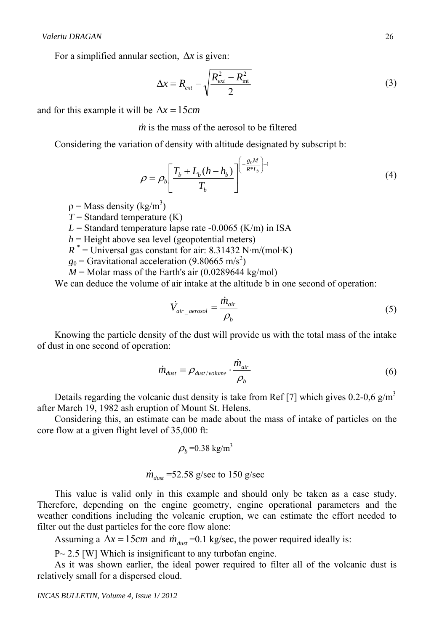For a simplified annular section,  $\Delta x$  is given:

$$
\Delta x = R_{ext} - \sqrt{\frac{R_{ext}^2 - R_{int}^2}{2}}
$$
 (3)

and for this example it will be  $\Delta x = 15$ *cm* 

*m* is the mass of the aerosol to be filtered

Considering the variation of density with altitude designated by subscript b:

$$
\rho = \rho_b \left[ \frac{T_b + L_b (h - h_b)}{T_b} \right]^{ \left( \frac{g_0 M}{R^* L_b} \right) - 1}
$$
\n(4)

 $p =$ Mass density (kg/m<sup>3</sup>)

 $T =$  Standard temperature  $(K)$ 

 $L =$  Standard temperature lapse rate  $-0.0065$  (K/m) in ISA

 $h$  = Height above sea level (geopotential meters)

 $R^*$  = Universal gas constant for air: 8.31432 N·m/(mol·K)

 $g_0$  = Gravitational acceleration (9.80665 m/s<sup>2</sup>)

 $M =$ Molar mass of the Earth's air (0.0289644 kg/mol)

We can deduce the volume of air intake at the altitude b in one second of operation:

$$
\dot{V}_{air\_aerosol} = \frac{\dot{m}_{air}}{\rho_b} \tag{5}
$$

 Knowing the particle density of the dust will provide us with the total mass of the intake of dust in one second of operation:

$$
\dot{m}_{\text{dust}} = \rho_{\text{dust/volume}} \cdot \frac{\dot{m}_{\text{air}}}{\rho_b} \tag{6}
$$

Details regarding the volcanic dust density is take from Ref [7] which gives 0.2-0,6 g/m<sup>3</sup> after March 19, 1982 ash eruption of Mount St. Helens.

 Considering this, an estimate can be made about the mass of intake of particles on the core flow at a given flight level of 35,000 ft:

$$
\rho_b = 0.38 \text{ kg/m}^3
$$

$$
\dot{m}_{\text{dust}} = 52.58 \text{ g/sec to } 150 \text{ g/sec}
$$

 This value is valid only in this example and should only be taken as a case study. Therefore, depending on the engine geometry, engine operational parameters and the weather conditions including the volcanic eruption, we can estimate the effort needed to filter out the dust particles for the core flow alone:

Assuming a  $\Delta x = 15$ *cm* and  $\dot{m}_{dust} = 0.1$  kg/sec, the power required ideally is:

 $P \sim 2.5$  [W] Which is insignificant to any turbofan engine.

 As it was shown earlier, the ideal power required to filter all of the volcanic dust is relatively small for a dispersed cloud.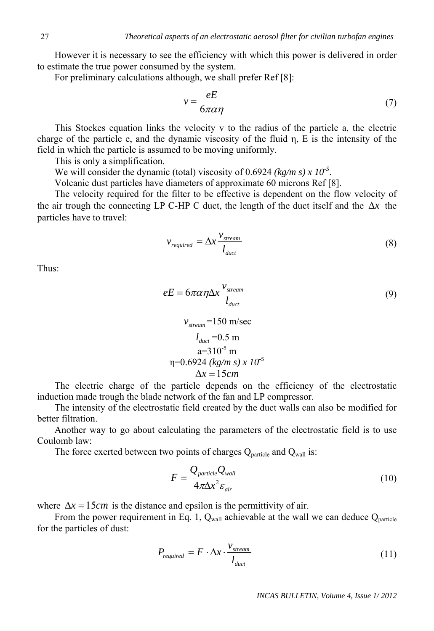However it is necessary to see the efficiency with which this power is delivered in order to estimate the true power consumed by the system.

For preliminary calculations although, we shall prefer Ref [8]:

$$
v = \frac{eE}{6\pi\alpha\eta} \tag{7}
$$

This Stockes equation links the velocity v to the radius of the particle a, the electric charge of the particle e, and the dynamic viscosity of the fluid η, E is the intensity of the field in which the particle is assumed to be moving uniformly.

This is only a simplification.

We will consider the dynamic (total) viscosity of 0.6924 ( $kg/m s$ ) x 10<sup>-5</sup>.

Volcanic dust particles have diameters of approximate 60 microns Ref [8].

 The velocity required for the filter to be effective is dependent on the flow velocity of the air trough the connecting LP C-HP C duct, the length of the duct itself and the  $\Delta x$  the particles have to travel:

$$
v_{required} = \Delta x \frac{v_{stream}}{l_{duct}}
$$
 (8)

Thus:

$$
eE = 6\pi\alpha\eta\Delta x \frac{v_{stream}}{l_{duct}}
$$
\n(9)

$$
v_{stream}
$$
=150 m/sec  
\n $l_{duct}$ =0.5 m  
\na=310<sup>-5</sup> m  
\nη=0.6924 (kg/m s) x 10<sup>-5</sup>  
\nΔx = 15 cm

 The electric charge of the particle depends on the efficiency of the electrostatic induction made trough the blade network of the fan and LP compressor.

 The intensity of the electrostatic field created by the duct walls can also be modified for better filtration.

 Another way to go about calculating the parameters of the electrostatic field is to use Coulomb law:

The force exerted between two points of charges  $Q_{\text{particle}}$  and  $Q_{\text{wall}}$  is:

$$
F = \frac{Q_{particle} Q_{wall}}{4\pi \Delta x^2 \varepsilon_{air}} \tag{10}
$$

where  $\Delta x = 15$ *cm* is the distance and epsilon is the permittivity of air.

From the power requirement in Eq. 1,  $Q_{\text{wall}}$  achievable at the wall we can deduce  $Q_{\text{particle}}$ for the particles of dust:

$$
P_{required} = F \cdot \Delta x \cdot \frac{v_{stream}}{l_{duct}}
$$
 (11)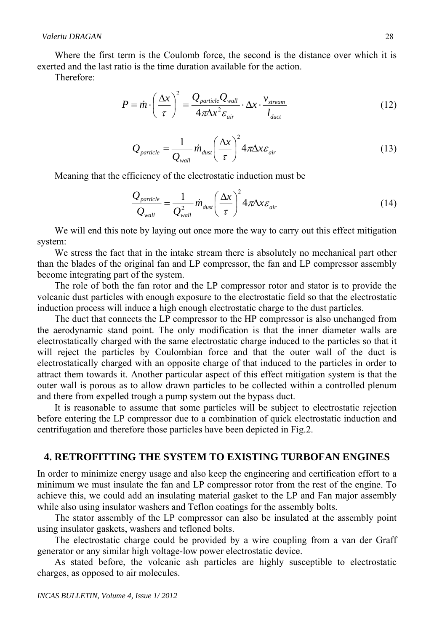Where the first term is the Coulomb force, the second is the distance over which it is exerted and the last ratio is the time duration available for the action.

Therefore:

$$
P = \dot{m} \cdot \left(\frac{\Delta x}{\tau}\right)^2 = \frac{Q_{particle} Q_{wall}}{4\pi \Delta x^2 \varepsilon_{air}} \cdot \Delta x \cdot \frac{v_{stream}}{l_{duct}}
$$
(12)

$$
Q_{particle} = \frac{1}{Q_{wall}} \dot{m}_{dust} \left(\frac{\Delta x}{\tau}\right)^2 4\pi \Delta x \varepsilon_{air}
$$
 (13)

Meaning that the efficiency of the electrostatic induction must be

$$
\frac{Q_{particle}}{Q_{wall}} = \frac{1}{Q_{wall}^2} \dot{m}_{dust} \left(\frac{\Delta x}{\tau}\right)^2 4\pi \Delta x \varepsilon_{air}
$$
 (14)

 We will end this note by laying out once more the way to carry out this effect mitigation system:

 We stress the fact that in the intake stream there is absolutely no mechanical part other than the blades of the original fan and LP compressor, the fan and LP compressor assembly become integrating part of the system.

 The role of both the fan rotor and the LP compressor rotor and stator is to provide the volcanic dust particles with enough exposure to the electrostatic field so that the electrostatic induction process will induce a high enough electrostatic charge to the dust particles.

 The duct that connects the LP compressor to the HP compressor is also unchanged from the aerodynamic stand point. The only modification is that the inner diameter walls are electrostatically charged with the same electrostatic charge induced to the particles so that it will reject the particles by Coulombian force and that the outer wall of the duct is electrostatically charged with an opposite charge of that induced to the particles in order to attract them towards it. Another particular aspect of this effect mitigation system is that the outer wall is porous as to allow drawn particles to be collected within a controlled plenum and there from expelled trough a pump system out the bypass duct.

 It is reasonable to assume that some particles will be subject to electrostatic rejection before entering the LP compressor due to a combination of quick electrostatic induction and centrifugation and therefore those particles have been depicted in Fig.2.

#### **4. RETROFITTING THE SYSTEM TO EXISTING TURBOFAN ENGINES**

In order to minimize energy usage and also keep the engineering and certification effort to a minimum we must insulate the fan and LP compressor rotor from the rest of the engine. To achieve this, we could add an insulating material gasket to the LP and Fan major assembly while also using insulator washers and Teflon coatings for the assembly bolts.

 The stator assembly of the LP compressor can also be insulated at the assembly point using insulator gaskets, washers and tefloned bolts.

 The electrostatic charge could be provided by a wire coupling from a van der Graff generator or any similar high voltage-low power electrostatic device.

 As stated before, the volcanic ash particles are highly susceptible to electrostatic charges, as opposed to air molecules.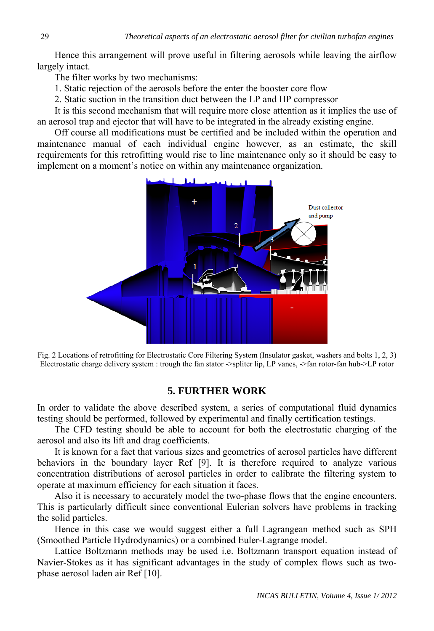Hence this arrangement will prove useful in filtering aerosols while leaving the airflow largely intact.

The filter works by two mechanisms:

- 1. Static rejection of the aerosols before the enter the booster core flow
- 2. Static suction in the transition duct between the LP and HP compressor

 It is this second mechanism that will require more close attention as it implies the use of an aerosol trap and ejector that will have to be integrated in the already existing engine.

 Off course all modifications must be certified and be included within the operation and maintenance manual of each individual engine however, as an estimate, the skill requirements for this retrofitting would rise to line maintenance only so it should be easy to implement on a moment's notice on within any maintenance organization.



Fig. 2 Locations of retrofitting for Electrostatic Core Filtering System (Insulator gasket, washers and bolts 1, 2, 3) Electrostatic charge delivery system : trough the fan stator ->spliter lip, LP vanes, ->fan rotor-fan hub->LP rotor

## **5. FURTHER WORK**

In order to validate the above described system, a series of computational fluid dynamics testing should be performed, followed by experimental and finally certification testings.

 The CFD testing should be able to account for both the electrostatic charging of the aerosol and also its lift and drag coefficients.

 It is known for a fact that various sizes and geometries of aerosol particles have different behaviors in the boundary layer Ref [9]. It is therefore required to analyze various concentration distributions of aerosol particles in order to calibrate the filtering system to operate at maximum efficiency for each situation it faces.

 Also it is necessary to accurately model the two-phase flows that the engine encounters. This is particularly difficult since conventional Eulerian solvers have problems in tracking the solid particles.

 Hence in this case we would suggest either a full Lagrangean method such as SPH (Smoothed Particle Hydrodynamics) or a combined Euler-Lagrange model.

 Lattice Boltzmann methods may be used i.e. Boltzmann transport equation instead of Navier-Stokes as it has significant advantages in the study of complex flows such as twophase aerosol laden air Ref [10].